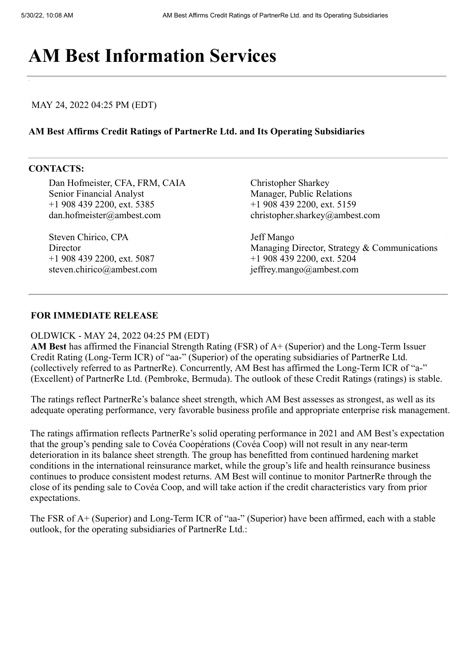# **[AM Best Info](https://web.ambest.com/home)rmation Services**

## MAY 24, 2022 04:25 PM (EDT)

### **AM Best Affirms Credit Ratings of PartnerRe Ltd. and Its Operating Subsidiaries**

#### **CONTACTS:**

Dan Hofmeister, CFA, FRM, CAIA Senior Financial Analyst +1 908 439 2200, ext. 5385 dan.hofmeister@ambest.com

Steven Chirico, CPA **Director** +1 908 439 2200, ext. 5087 steven.chirico@ambest.com Christopher Sharkey Manager, Public Relations +1 908 439 2200, ext. 5159 christopher.sharkey@ambest.com

Jeff Mango Managing Director, Strategy & Communications +1 908 439 2200, ext. 5204 jeffrey.mango@ambest.com

## **FOR IMMEDIATE RELEASE**

#### OLDWICK - MAY 24, 2022 04:25 PM (EDT)

**AM Best** has affirmed the Financial Strength Rating (FSR) of A+ (Superior) and the Long-Term Issuer Credit Rating (Long-Term ICR) of "aa-" (Superior) of the operating subsidiaries of PartnerRe Ltd. (collectively referred to as PartnerRe). Concurrently, AM Best has affirmed the Long-Term ICR of "a-" (Excellent) of PartnerRe Ltd. (Pembroke, Bermuda). The outlook of these Credit Ratings (ratings) is stable.

The ratings reflect PartnerRe's balance sheet strength, which AM Best assesses as strongest, as well as its adequate operating performance, very favorable business profile and appropriate enterprise risk management.

The ratings affirmation reflects PartnerRe's solid operating performance in 2021 and AM Best's expectation that the group's pending sale to Covéa Coopérations (Covéa Coop) will not result in any near-term deterioration in its balance sheet strength. The group has benefitted from continued hardening market conditions in the international reinsurance market, while the group's life and health reinsurance business continues to produce consistent modest returns. AM Best will continue to monitor PartnerRe through the close of its pending sale to Covéa Coop, and will take action if the credit characteristics vary from prior expectations.

The FSR of A+ (Superior) and Long-Term ICR of "aa-" (Superior) have been affirmed, each with a stable outlook, for the operating subsidiaries of PartnerRe Ltd.: